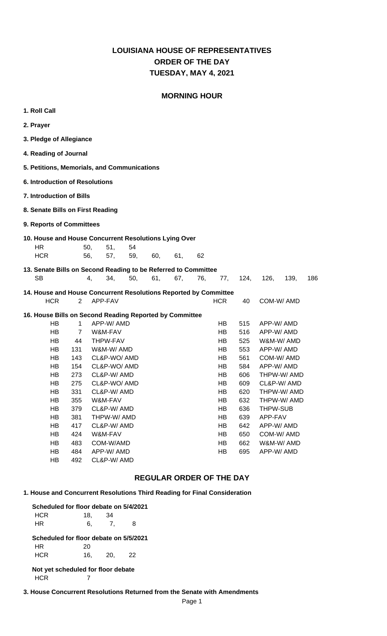### **LOUISIANA HOUSE OF REPRESENTATIVES TUESDAY, MAY 4, 2021 ORDER OF THE DAY**

### **MORNING HOUR**

| 1. Roll Call                                                                |                                                                  |                               |            |           |     |     |     |            |            |                 |             |     |
|-----------------------------------------------------------------------------|------------------------------------------------------------------|-------------------------------|------------|-----------|-----|-----|-----|------------|------------|-----------------|-------------|-----|
| 2. Prayer                                                                   |                                                                  |                               |            |           |     |     |     |            |            |                 |             |     |
| 3. Pledge of Allegiance                                                     |                                                                  |                               |            |           |     |     |     |            |            |                 |             |     |
| 4. Reading of Journal                                                       |                                                                  |                               |            |           |     |     |     |            |            |                 |             |     |
| 5. Petitions, Memorials, and Communications                                 |                                                                  |                               |            |           |     |     |     |            |            |                 |             |     |
|                                                                             | <b>6. Introduction of Resolutions</b>                            |                               |            |           |     |     |     |            |            |                 |             |     |
|                                                                             | <b>7. Introduction of Bills</b>                                  |                               |            |           |     |     |     |            |            |                 |             |     |
| 8. Senate Bills on First Reading                                            |                                                                  |                               |            |           |     |     |     |            |            |                 |             |     |
| 9. Reports of Committees                                                    |                                                                  |                               |            |           |     |     |     |            |            |                 |             |     |
| 10. House and House Concurrent Resolutions Lying Over                       |                                                                  |                               |            |           |     |     |     |            |            |                 |             |     |
| <b>HR</b><br><b>HCR</b>                                                     |                                                                  | 50,<br>56,                    | 51,<br>57, | 54<br>59, | 60, | 61, | 62  |            |            |                 |             |     |
|                                                                             |                                                                  |                               |            |           |     |     |     |            |            |                 |             |     |
| 13. Senate Bills on Second Reading to be Referred to Committee<br><b>SB</b> |                                                                  | 4,                            | 34,        | 50,       | 61, | 67, | 76, | 77,        | 124,       | 126,            | 139,        | 186 |
|                                                                             | 14. House and House Concurrent Resolutions Reported by Committee |                               |            |           |     |     |     |            |            |                 |             |     |
| <b>HCR</b>                                                                  | $\overline{2}$                                                   | APP-FAV                       |            |           |     |     |     | <b>HCR</b> | 40         |                 | COM-W/AMD   |     |
| 16. House Bills on Second Reading Reported by Committee                     |                                                                  |                               |            |           |     |     |     |            |            |                 |             |     |
| HB                                                                          | $\mathbf{1}$                                                     | APP-W/ AMD                    |            |           |     |     |     | HB.        | 515        | APP-W/ AMD      |             |     |
| HB                                                                          | $\overline{7}$                                                   | W&M-FAV                       |            |           |     |     |     | HB.        | 516        | APP-W/ AMD      |             |     |
| HB<br>HB.                                                                   | 44<br>131                                                        | <b>THPW-FAV</b><br>W&M-W/ AMD |            |           |     |     |     | HB<br>HB.  | 525<br>553 | APP-W/ AMD      | W&M-W/ AMD  |     |
| HB.                                                                         | 143                                                              | CL&P-WO/AMD                   |            |           |     |     |     | HB.        | 561        |                 | COM-W/AMD   |     |
| HB                                                                          | 154                                                              | CL&P-WO/AMD                   |            |           |     |     |     | HB         | 584        | APP-W/ AMD      |             |     |
| HB                                                                          | 273                                                              | CL&P-W/AMD                    |            |           |     |     |     | HB         | 606        |                 | THPW-W/ AMD |     |
| HВ                                                                          | 275                                                              | CL&P-WO/AMD                   |            |           |     |     |     | HВ         | 609        |                 | CL&P-W/AMD  |     |
| HB                                                                          | 331                                                              | CL&P-W/AMD                    |            |           |     |     |     | HB         | 620        |                 | THPW-W/AMD  |     |
| HB                                                                          | 355                                                              | W&M-FAV                       |            |           |     |     |     | HB         | 632        |                 | THPW-W/ AMD |     |
| HB                                                                          | 379                                                              | CL&P-W/ AMD                   |            |           |     |     |     | HB         | 636        | <b>THPW-SUB</b> |             |     |
| HB                                                                          | 381                                                              | THPW-W/ AMD                   |            |           |     |     |     | HB         | 639        | APP-FAV         |             |     |
| HB                                                                          | 417                                                              | CL&P-W/ AMD                   |            |           |     |     |     | HB         | 642        | APP-W/ AMD      |             |     |
| HB                                                                          | 424                                                              | W&M-FAV                       |            |           |     |     |     | HB         | 650        |                 | COM-W/AMD   |     |
| HB                                                                          | 483                                                              | COM-W/AMD                     |            |           |     |     |     | HB         | 662        |                 | W&M-W/ AMD  |     |
| HB                                                                          | 484                                                              | APP-W/ AMD                    |            |           |     |     |     | HB         | 695        | APP-W/ AMD      |             |     |
| HB                                                                          | 492                                                              | CL&P-W/ AMD                   |            |           |     |     |     |            |            |                 |             |     |

### **REGULAR ORDER OF THE DAY**

### **1. House and Concurrent Resolutions Third Reading for Final Consideration**

| Scheduled for floor debate on 5/4/2021 |     |            |    |  |
|----------------------------------------|-----|------------|----|--|
| HCR                                    | 18. | 34         |    |  |
| HR                                     | 6,  | 7.         | 8  |  |
| Scheduled for floor debate on 5/5/2021 |     |            |    |  |
| HR.                                    | 20  |            |    |  |
| HCR                                    | 16. | <b>20.</b> | 22 |  |
| Not yet scheduled for floor debate     |     |            |    |  |
|                                        |     |            |    |  |

#### **3. House Concurrent Resolutions Returned from the Senate with Amendments**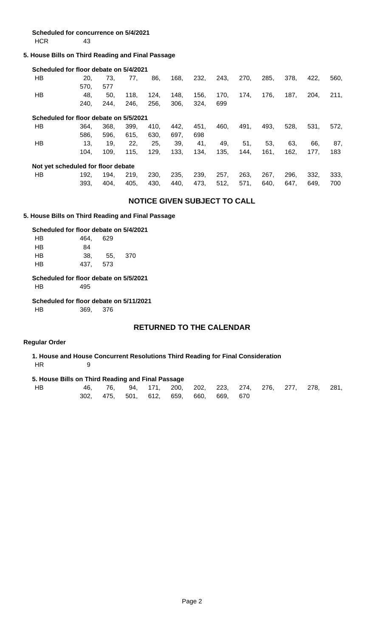**Scheduled for concurrence on 5/4/2021** HCR 43

### **5. House Bills on Third Reading and Final Passage**

|    | Scheduled for floor debate on 5/4/2021 |      |      |      |      |      |      |      |      |      |      |      |
|----|----------------------------------------|------|------|------|------|------|------|------|------|------|------|------|
| HB | 20.                                    | 73.  | 77,  | 86,  | 168, | 232, | 243, | 270, | 285, | 378. | 422. | 560. |
|    | 570.                                   | 577  |      |      |      |      |      |      |      |      |      |      |
| HВ | 48.                                    | 50,  | 118. | 124. | 148. | 156, | 170. | 174. | 176, | 187, | 204. | 211, |
|    | 240.                                   | 244. | 246, | 256, | 306, | 324, | 699  |      |      |      |      |      |
|    | Scheduled for floor debate on 5/5/2021 |      |      |      |      |      |      |      |      |      |      |      |
| HВ | 364.                                   | 368. | 399, | 410, | 442. | 451. | 460, | 491, | 493, | 528, | 531, | 572. |
|    | 586.                                   | 596. | 615, | 630, | 697. | 698  |      |      |      |      |      |      |
| HВ | 13.                                    | 19.  | 22,  | 25,  | 39,  | 41,  | 49,  | 51,  | 53,  | 63.  | 66.  | 87,  |
|    | 104.                                   | 109. | 115, | 129, | 133, | 134, | 135, | 144. | 161, | 162, | 177. | 183  |
|    | Not yet scheduled for floor debate     |      |      |      |      |      |      |      |      |      |      |      |
| HВ | 192.                                   | 194. | 219. | 230. | 235. | 239. | 257. | 263, | 267. | 296. | 332. | 333, |
|    | 393,                                   | 404. | 405, | 430, | 440, | 473, | 512, | 571, | 640, | 647. | 649, | 700  |

### **NOTICE GIVEN SUBJECT TO CALL**

#### **5. House Bills on Third Reading and Final Passage**

#### **Scheduled for floor debate on 5/4/2021**

| HB        | 464. | 629 |         |
|-----------|------|-----|---------|
| <b>HB</b> | 84   |     |         |
| HB        | 38.  |     | 55. 370 |
| <b>HB</b> | 437. | 573 |         |
|           |      |     |         |

 **Scheduled for floor debate on 5/5/2021** HB 495

#### **Scheduled for floor debate on 5/11/2021**

HB 369, 376

### **RETURNED TO THE CALENDAR**

#### **Regular Order**

 **1. House and House Concurrent Resolutions Third Reading for Final Consideration** HR 9

### **5. House Bills on Third Reading and Final Passage**

| HВ |  |  | 46, 76, 94, 171, 200, 202, 223, 274, 276, 277, 278, 281, |  |  |  |
|----|--|--|----------------------------------------------------------|--|--|--|
|    |  |  | 302, 475, 501, 612, 659, 660, 669, 670                   |  |  |  |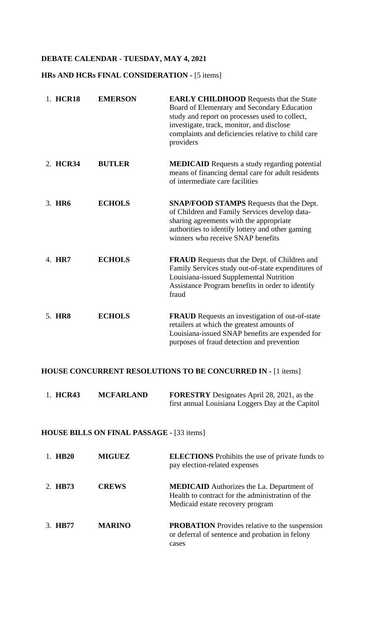## **DEBATE CALENDAR - TUESDAY, MAY 4, 2021**

### **HRs AND HCRs FINAL CONSIDERATION -** [5 items]

| 1. HCR18 | <b>EMERSON</b> | <b>EARLY CHILDHOOD</b> Requests that the State<br>Board of Elementary and Secondary Education<br>study and report on processes used to collect,<br>investigate, track, monitor, and disclose<br>complaints and deficiencies relative to child care<br>providers |
|----------|----------------|-----------------------------------------------------------------------------------------------------------------------------------------------------------------------------------------------------------------------------------------------------------------|
| 2. HCR34 | <b>BUTLER</b>  | <b>MEDICAID</b> Requests a study regarding potential<br>means of financing dental care for adult residents<br>of intermediate care facilities                                                                                                                   |
| 3. HR6   | <b>ECHOLS</b>  | <b>SNAP/FOOD STAMPS</b> Requests that the Dept.<br>of Children and Family Services develop data-<br>sharing agreements with the appropriate<br>authorities to identify lottery and other gaming<br>winners who receive SNAP benefits                            |
| 4. HR7   | <b>ECHOLS</b>  | <b>FRAUD</b> Requests that the Dept. of Children and<br>Family Services study out-of-state expenditures of<br>Louisiana-issued Supplemental Nutrition<br>Assistance Program benefits in order to identify<br>fraud                                              |
| 5. HR8   | <b>ECHOLS</b>  | FRAUD Requests an investigation of out-of-state<br>retailers at which the greatest amounts of<br>Louisiana-issued SNAP benefits are expended for<br>purposes of fraud detection and prevention                                                                  |

### **HOUSE CONCURRENT RESOLUTIONS TO BE CONCURRED IN -** [1 items]

| 1. HCR43 | <b>MCFARLAND</b> | <b>FORESTRY</b> Designates April 28, 2021, as the |
|----------|------------------|---------------------------------------------------|
|          |                  | first annual Louisiana Loggers Day at the Capitol |

# **HOUSE BILLS ON FINAL PASSAGE -** [33 items]

| 1 HR20  | <b>MIGUEZ</b> | <b>ELECTIONS</b> Prohibits the use of private funds to<br>pay election-related expenses                                                  |
|---------|---------------|------------------------------------------------------------------------------------------------------------------------------------------|
| 2. HB73 | <b>CREWS</b>  | <b>MEDICAID</b> Authorizes the La. Department of<br>Health to contract for the administration of the<br>Medicaid estate recovery program |
| 3. HR77 | <b>MARINO</b> | <b>PROBATION</b> Provides relative to the suspension<br>or deferral of sentence and probation in felony<br>cases                         |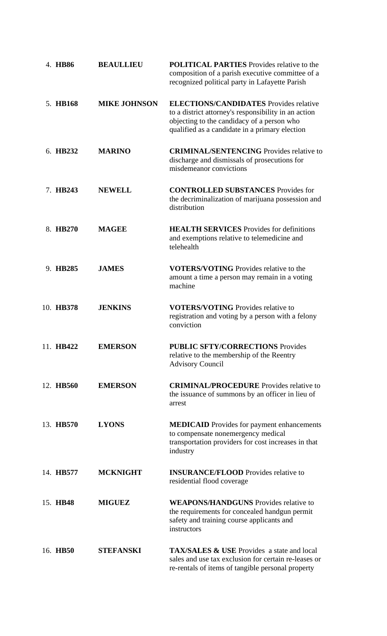| 4. HB86   | <b>BEAULLIEU</b>    | <b>POLITICAL PARTIES</b> Provides relative to the<br>composition of a parish executive committee of a<br>recognized political party in Lafayette Parish                                               |
|-----------|---------------------|-------------------------------------------------------------------------------------------------------------------------------------------------------------------------------------------------------|
| 5. HB168  | <b>MIKE JOHNSON</b> | <b>ELECTIONS/CANDIDATES</b> Provides relative<br>to a district attorney's responsibility in an action<br>objecting to the candidacy of a person who<br>qualified as a candidate in a primary election |
| 6. HB232  | <b>MARINO</b>       | <b>CRIMINAL/SENTENCING</b> Provides relative to<br>discharge and dismissals of prosecutions for<br>misdemeanor convictions                                                                            |
| 7. HB243  | <b>NEWELL</b>       | <b>CONTROLLED SUBSTANCES</b> Provides for<br>the decriminalization of marijuana possession and<br>distribution                                                                                        |
| 8. HB270  | <b>MAGEE</b>        | <b>HEALTH SERVICES</b> Provides for definitions<br>and exemptions relative to telemedicine and<br>telehealth                                                                                          |
| 9. HB285  | <b>JAMES</b>        | <b>VOTERS/VOTING</b> Provides relative to the<br>amount a time a person may remain in a voting<br>machine                                                                                             |
| 10. HB378 | <b>JENKINS</b>      | <b>VOTERS/VOTING</b> Provides relative to<br>registration and voting by a person with a felony<br>conviction                                                                                          |
| 11. HB422 | <b>EMERSON</b>      | <b>PUBLIC SFTY/CORRECTIONS Provides</b><br>relative to the membership of the Reentry<br><b>Advisory Council</b>                                                                                       |
| 12. HB560 | <b>EMERSON</b>      | <b>CRIMINAL/PROCEDURE</b> Provides relative to<br>the issuance of summons by an officer in lieu of<br>arrest                                                                                          |
| 13. HB570 | <b>LYONS</b>        | <b>MEDICAID</b> Provides for payment enhancements<br>to compensate nonemergency medical<br>transportation providers for cost increases in that<br>industry                                            |
| 14. HB577 | <b>MCKNIGHT</b>     | <b>INSURANCE/FLOOD</b> Provides relative to<br>residential flood coverage                                                                                                                             |
| 15. HB48  | <b>MIGUEZ</b>       | <b>WEAPONS/HANDGUNS</b> Provides relative to<br>the requirements for concealed handgun permit<br>safety and training course applicants and<br>instructors                                             |
| 16. HB50  | <b>STEFANSKI</b>    | <b>TAX/SALES &amp; USE</b> Provides a state and local<br>sales and use tax exclusion for certain re-leases or<br>re-rentals of items of tangible personal property                                    |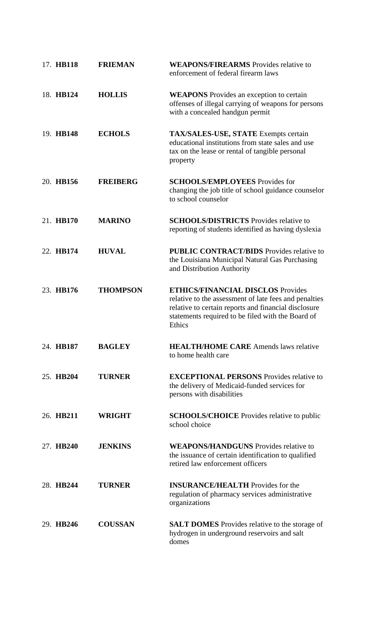| 17. HB118 | <b>FRIEMAN</b>  | <b>WEAPONS/FIREARMS</b> Provides relative to<br>enforcement of federal firearm laws                                                                                                                                      |
|-----------|-----------------|--------------------------------------------------------------------------------------------------------------------------------------------------------------------------------------------------------------------------|
| 18. HB124 | <b>HOLLIS</b>   | <b>WEAPONS</b> Provides an exception to certain<br>offenses of illegal carrying of weapons for persons<br>with a concealed handgun permit                                                                                |
| 19. HB148 | <b>ECHOLS</b>   | TAX/SALES-USE, STATE Exempts certain<br>educational institutions from state sales and use<br>tax on the lease or rental of tangible personal<br>property                                                                 |
| 20. HB156 | <b>FREIBERG</b> | <b>SCHOOLS/EMPLOYEES</b> Provides for<br>changing the job title of school guidance counselor<br>to school counselor                                                                                                      |
| 21. HB170 | <b>MARINO</b>   | <b>SCHOOLS/DISTRICTS</b> Provides relative to<br>reporting of students identified as having dyslexia                                                                                                                     |
| 22. HB174 | <b>HUVAL</b>    | <b>PUBLIC CONTRACT/BIDS</b> Provides relative to<br>the Louisiana Municipal Natural Gas Purchasing<br>and Distribution Authority                                                                                         |
| 23. HB176 | <b>THOMPSON</b> | <b>ETHICS/FINANCIAL DISCLOS Provides</b><br>relative to the assessment of late fees and penalties<br>relative to certain reports and financial disclosure<br>statements required to be filed with the Board of<br>Ethics |
| 24. HB187 | <b>BAGLEY</b>   | <b>HEALTH/HOME CARE</b> Amends laws relative<br>to home health care                                                                                                                                                      |
| 25. HB204 | <b>TURNER</b>   | <b>EXCEPTIONAL PERSONS</b> Provides relative to<br>the delivery of Medicaid-funded services for<br>persons with disabilities                                                                                             |
| 26. HB211 | <b>WRIGHT</b>   | <b>SCHOOLS/CHOICE</b> Provides relative to public<br>school choice                                                                                                                                                       |
| 27. HB240 | <b>JENKINS</b>  | <b>WEAPONS/HANDGUNS</b> Provides relative to<br>the issuance of certain identification to qualified<br>retired law enforcement officers                                                                                  |
| 28. HB244 | <b>TURNER</b>   | <b>INSURANCE/HEALTH</b> Provides for the<br>regulation of pharmacy services administrative<br>organizations                                                                                                              |
| 29. HB246 | <b>COUSSAN</b>  | <b>SALT DOMES</b> Provides relative to the storage of<br>hydrogen in underground reservoirs and salt<br>domes                                                                                                            |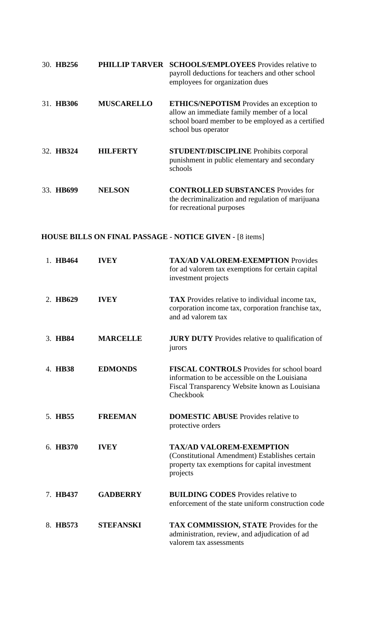| 30. HB256 |                   | <b>PHILLIP TARVER SCHOOLS/EMPLOYEES</b> Provides relative to<br>payroll deductions for teachers and other school<br>employees for organization dues                        |
|-----------|-------------------|----------------------------------------------------------------------------------------------------------------------------------------------------------------------------|
| 31. HB306 | <b>MUSCARELLO</b> | <b>ETHICS/NEPOTISM</b> Provides an exception to<br>allow an immediate family member of a local<br>school board member to be employed as a certified<br>school bus operator |
| 32. HB324 | <b>HILFERTY</b>   | <b>STUDENT/DISCIPLINE</b> Prohibits corporal<br>punishment in public elementary and secondary<br>schools                                                                   |
| 33. HB699 | <b>NELSON</b>     | <b>CONTROLLED SUBSTANCES</b> Provides for<br>the decriminalization and regulation of marijuana<br>for recreational purposes                                                |

# **HOUSE BILLS ON FINAL PASSAGE - NOTICE GIVEN -** [8 items]

| 1. HB464 | <b>IVEY</b>      | <b>TAX/AD VALOREM-EXEMPTION Provides</b><br>for ad valorem tax exemptions for certain capital<br>investment projects                                             |
|----------|------------------|------------------------------------------------------------------------------------------------------------------------------------------------------------------|
| 2. HB629 | <b>IVEY</b>      | <b>TAX</b> Provides relative to individual income tax,<br>corporation income tax, corporation franchise tax,<br>and ad valorem tax                               |
| 3. HB84  | <b>MARCELLE</b>  | <b>JURY DUTY</b> Provides relative to qualification of<br>jurors                                                                                                 |
| 4. HB38  | <b>EDMONDS</b>   | <b>FISCAL CONTROLS</b> Provides for school board<br>information to be accessible on the Louisiana<br>Fiscal Transparency Website known as Louisiana<br>Checkbook |
| 5. HB55  | <b>FREEMAN</b>   | <b>DOMESTIC ABUSE</b> Provides relative to<br>protective orders                                                                                                  |
| 6. HB370 | <b>IVEY</b>      | <b>TAX/AD VALOREM-EXEMPTION</b><br>(Constitutional Amendment) Establishes certain<br>property tax exemptions for capital investment<br>projects                  |
| 7. HB437 | <b>GADBERRY</b>  | <b>BUILDING CODES</b> Provides relative to<br>enforcement of the state uniform construction code                                                                 |
| 8. HB573 | <b>STEFANSKI</b> | TAX COMMISSION, STATE Provides for the<br>administration, review, and adjudication of ad<br>valorem tax assessments                                              |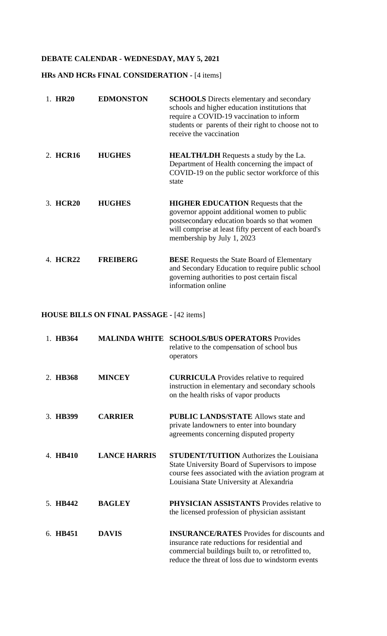# **DEBATE CALENDAR - WEDNESDAY, MAY 5, 2021**

### **HRs AND HCRs FINAL CONSIDERATION -** [4 items]

| 1. HR20  | <b>EDMONSTON</b> | <b>SCHOOLS</b> Directs elementary and secondary<br>schools and higher education institutions that<br>require a COVID-19 vaccination to inform<br>students or parents of their right to choose not to<br>receive the vaccination |
|----------|------------------|---------------------------------------------------------------------------------------------------------------------------------------------------------------------------------------------------------------------------------|
| 2. HCR16 | <b>HUGHES</b>    | <b>HEALTH/LDH</b> Requests a study by the La.<br>Department of Health concerning the impact of<br>COVID-19 on the public sector workforce of this<br>state                                                                      |
| 3. HCR20 | <b>HUGHES</b>    | <b>HIGHER EDUCATION</b> Requests that the<br>governor appoint additional women to public<br>postsecondary education boards so that women<br>will comprise at least fifty percent of each board's<br>membership by July 1, 2023  |
| 4. HCR22 | <b>FREIBERG</b>  | <b>BESE</b> Requests the State Board of Elementary<br>and Secondary Education to require public school<br>governing authorities to post certain fiscal<br>information online                                                    |

## **HOUSE BILLS ON FINAL PASSAGE -** [42 items]

| 1. HB364 | <b>MALINDA WHITE</b> | <b>SCHOOLS/BUS OPERATORS</b> Provides<br>relative to the compensation of school bus<br>operators                                                                                                             |
|----------|----------------------|--------------------------------------------------------------------------------------------------------------------------------------------------------------------------------------------------------------|
| 2. HB368 | <b>MINCEY</b>        | <b>CURRICULA</b> Provides relative to required<br>instruction in elementary and secondary schools<br>on the health risks of vapor products                                                                   |
| 3. HB399 | <b>CARRIER</b>       | <b>PUBLIC LANDS/STATE Allows state and</b><br>private landowners to enter into boundary<br>agreements concerning disputed property                                                                           |
| 4. HB410 | <b>LANCE HARRIS</b>  | <b>STUDENT/TUITION</b> Authorizes the Louisiana<br>State University Board of Supervisors to impose<br>course fees associated with the aviation program at<br>Louisiana State University at Alexandria        |
| 5. HB442 | <b>BAGLEY</b>        | <b>PHYSICIAN ASSISTANTS</b> Provides relative to<br>the licensed profession of physician assistant                                                                                                           |
| 6. HB451 | <b>DAVIS</b>         | <b>INSURANCE/RATES</b> Provides for discounts and<br>insurance rate reductions for residential and<br>commercial buildings built to, or retrofitted to,<br>reduce the threat of loss due to windstorm events |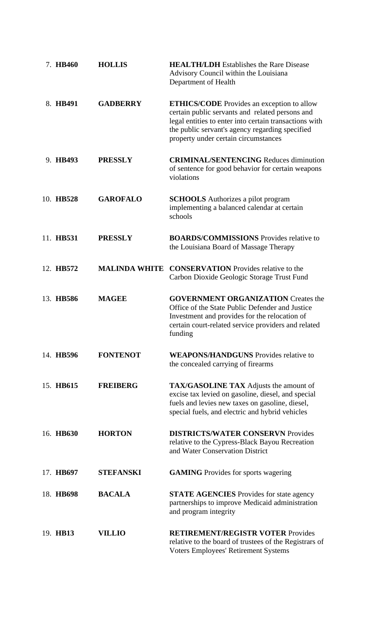| 7. HB460  | <b>HOLLIS</b>        | <b>HEALTH/LDH</b> Establishes the Rare Disease<br>Advisory Council within the Louisiana<br>Department of Health                                                                                                                                           |
|-----------|----------------------|-----------------------------------------------------------------------------------------------------------------------------------------------------------------------------------------------------------------------------------------------------------|
| 8. HB491  | <b>GADBERRY</b>      | <b>ETHICS/CODE</b> Provides an exception to allow<br>certain public servants and related persons and<br>legal entities to enter into certain transactions with<br>the public servant's agency regarding specified<br>property under certain circumstances |
| 9. HB493  | <b>PRESSLY</b>       | <b>CRIMINAL/SENTENCING Reduces diminution</b><br>of sentence for good behavior for certain weapons<br>violations                                                                                                                                          |
| 10. HB528 | <b>GAROFALO</b>      | <b>SCHOOLS</b> Authorizes a pilot program<br>implementing a balanced calendar at certain<br>schools                                                                                                                                                       |
| 11. HB531 | <b>PRESSLY</b>       | <b>BOARDS/COMMISSIONS</b> Provides relative to<br>the Louisiana Board of Massage Therapy                                                                                                                                                                  |
| 12. HB572 | <b>MALINDA WHITE</b> | <b>CONSERVATION</b> Provides relative to the<br>Carbon Dioxide Geologic Storage Trust Fund                                                                                                                                                                |
| 13. HB586 | <b>MAGEE</b>         | <b>GOVERNMENT ORGANIZATION Creates the</b><br>Office of the State Public Defender and Justice<br>Investment and provides for the relocation of<br>certain court-related service providers and related<br>funding                                          |
| 14. HB596 | <b>FONTENOT</b>      | <b>WEAPONS/HANDGUNS</b> Provides relative to<br>the concealed carrying of firearms                                                                                                                                                                        |
| 15. HB615 | <b>FREIBERG</b>      | <b>TAX/GASOLINE TAX</b> Adjusts the amount of<br>excise tax levied on gasoline, diesel, and special<br>fuels and levies new taxes on gasoline, diesel,<br>special fuels, and electric and hybrid vehicles                                                 |
| 16. HB630 | <b>HORTON</b>        | <b>DISTRICTS/WATER CONSERVN Provides</b><br>relative to the Cypress-Black Bayou Recreation<br>and Water Conservation District                                                                                                                             |
| 17. HB697 | <b>STEFANSKI</b>     | <b>GAMING</b> Provides for sports wagering                                                                                                                                                                                                                |
| 18. HB698 | <b>BACALA</b>        | <b>STATE AGENCIES</b> Provides for state agency<br>partnerships to improve Medicaid administration<br>and program integrity                                                                                                                               |
| 19. HB13  | <b>VILLIO</b>        | <b>RETIREMENT/REGISTR VOTER Provides</b><br>relative to the board of trustees of the Registrars of<br><b>Voters Employees' Retirement Systems</b>                                                                                                         |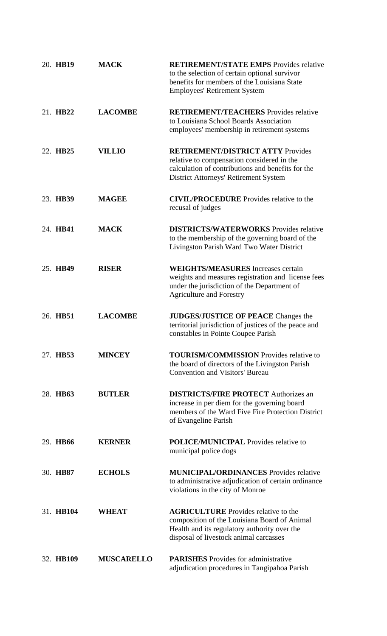| 20. HB19  | <b>MACK</b>       | <b>RETIREMENT/STATE EMPS</b> Provides relative<br>to the selection of certain optional survivor<br>benefits for members of the Louisiana State<br><b>Employees' Retirement System</b> |
|-----------|-------------------|---------------------------------------------------------------------------------------------------------------------------------------------------------------------------------------|
| 21. HB22  | <b>LACOMBE</b>    | <b>RETIREMENT/TEACHERS</b> Provides relative<br>to Louisiana School Boards Association<br>employees' membership in retirement systems                                                 |
| 22. HB25  | <b>VILLIO</b>     | <b>RETIREMENT/DISTRICT ATTY Provides</b><br>relative to compensation considered in the<br>calculation of contributions and benefits for the<br>District Attorneys' Retirement System  |
| 23. HB39  | <b>MAGEE</b>      | <b>CIVIL/PROCEDURE</b> Provides relative to the<br>recusal of judges                                                                                                                  |
| 24. HB41  | <b>MACK</b>       | <b>DISTRICTS/WATERWORKS</b> Provides relative<br>to the membership of the governing board of the<br>Livingston Parish Ward Two Water District                                         |
| 25. HB49  | <b>RISER</b>      | <b>WEIGHTS/MEASURES</b> Increases certain<br>weights and measures registration and license fees<br>under the jurisdiction of the Department of<br><b>Agriculture and Forestry</b>     |
| 26. HB51  | <b>LACOMBE</b>    | <b>JUDGES/JUSTICE OF PEACE Changes the</b><br>territorial jurisdiction of justices of the peace and<br>constables in Pointe Coupee Parish                                             |
| 27. HB53  | <b>MINCEY</b>     | <b>TOURISM/COMMISSION</b> Provides relative to<br>the board of directors of the Livingston Parish<br><b>Convention and Visitors' Bureau</b>                                           |
| 28. HB63  | <b>BUTLER</b>     | <b>DISTRICTS/FIRE PROTECT Authorizes an</b><br>increase in per diem for the governing board<br>members of the Ward Five Fire Protection District<br>of Evangeline Parish              |
| 29. HB66  | <b>KERNER</b>     | <b>POLICE/MUNICIPAL Provides relative to</b><br>municipal police dogs                                                                                                                 |
| 30. HB87  | <b>ECHOLS</b>     | <b>MUNICIPAL/ORDINANCES</b> Provides relative<br>to administrative adjudication of certain ordinance<br>violations in the city of Monroe                                              |
| 31. HB104 | <b>WHEAT</b>      | <b>AGRICULTURE</b> Provides relative to the<br>composition of the Louisiana Board of Animal<br>Health and its regulatory authority over the<br>disposal of livestock animal carcasses |
| 32. HB109 | <b>MUSCARELLO</b> | <b>PARISHES</b> Provides for administrative<br>adjudication procedures in Tangipahoa Parish                                                                                           |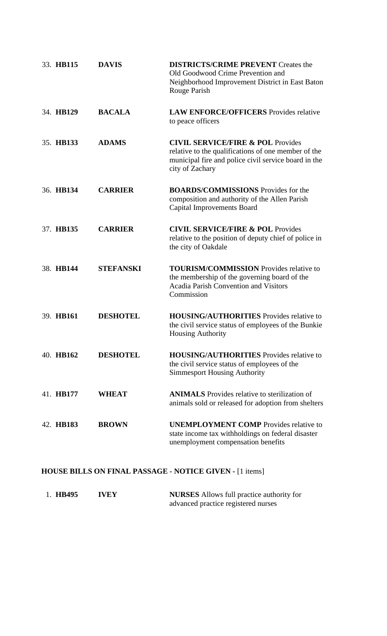| 33. HB115 | <b>DAVIS</b>     | <b>DISTRICTS/CRIME PREVENT Creates the</b><br>Old Goodwood Crime Prevention and<br>Neighborhood Improvement District in East Baton<br>Rouge Parish                             |
|-----------|------------------|--------------------------------------------------------------------------------------------------------------------------------------------------------------------------------|
| 34. HB129 | <b>BACALA</b>    | <b>LAW ENFORCE/OFFICERS</b> Provides relative<br>to peace officers                                                                                                             |
| 35. HB133 | <b>ADAMS</b>     | <b>CIVIL SERVICE/FIRE &amp; POL Provides</b><br>relative to the qualifications of one member of the<br>municipal fire and police civil service board in the<br>city of Zachary |
| 36. HB134 | <b>CARRIER</b>   | <b>BOARDS/COMMISSIONS</b> Provides for the<br>composition and authority of the Allen Parish<br><b>Capital Improvements Board</b>                                               |
| 37. HB135 | <b>CARRIER</b>   | <b>CIVIL SERVICE/FIRE &amp; POL Provides</b><br>relative to the position of deputy chief of police in<br>the city of Oakdale                                                   |
| 38. HB144 | <b>STEFANSKI</b> | <b>TOURISM/COMMISSION</b> Provides relative to<br>the membership of the governing board of the<br><b>Acadia Parish Convention and Visitors</b><br>Commission                   |
| 39. HB161 | <b>DESHOTEL</b>  | <b>HOUSING/AUTHORITIES</b> Provides relative to<br>the civil service status of employees of the Bunkie<br><b>Housing Authority</b>                                             |
| 40. HB162 | <b>DESHOTEL</b>  | <b>HOUSING/AUTHORITIES</b> Provides relative to<br>the civil service status of employees of the<br><b>Simmesport Housing Authority</b>                                         |
| 41. HB177 | <b>WHEAT</b>     | <b>ANIMALS</b> Provides relative to sterilization of<br>animals sold or released for adoption from shelters                                                                    |
| 42. HB183 | <b>BROWN</b>     | <b>UNEMPLOYMENT COMP</b> Provides relative to<br>state income tax withholdings on federal disaster<br>unemployment compensation benefits                                       |

# **HOUSE BILLS ON FINAL PASSAGE - NOTICE GIVEN -** [1 items]

| 1. HB495 | <b>IVEY</b> | <b>NURSES</b> Allows full practice authority for |
|----------|-------------|--------------------------------------------------|
|          |             | advanced practice registered nurses              |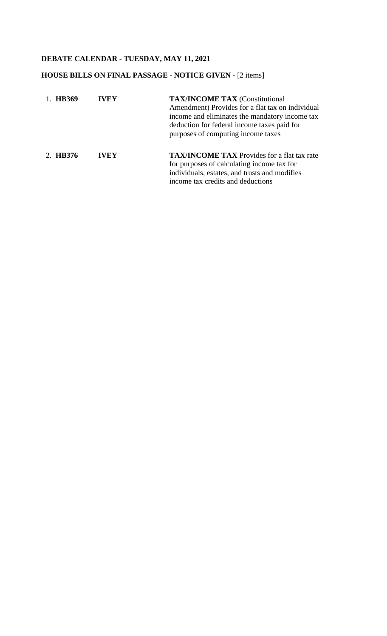# **DEBATE CALENDAR - TUESDAY, MAY 11, 2021**

### **HOUSE BILLS ON FINAL PASSAGE - NOTICE GIVEN -** [2 items]

| 1. HB369 | <b>IVEY</b> | <b>TAX/INCOME TAX (Constitutional</b><br>Amendment) Provides for a flat tax on individual<br>income and eliminates the mandatory income tax<br>deduction for federal income taxes paid for<br>purposes of computing income taxes |
|----------|-------------|----------------------------------------------------------------------------------------------------------------------------------------------------------------------------------------------------------------------------------|
| 2. HB376 | <b>IVEY</b> | <b>TAX/INCOME TAX</b> Provides for a flat tax rate<br>for purposes of calculating income tax for<br>individuals, estates, and trusts and modifies<br>income tax credits and deductions                                           |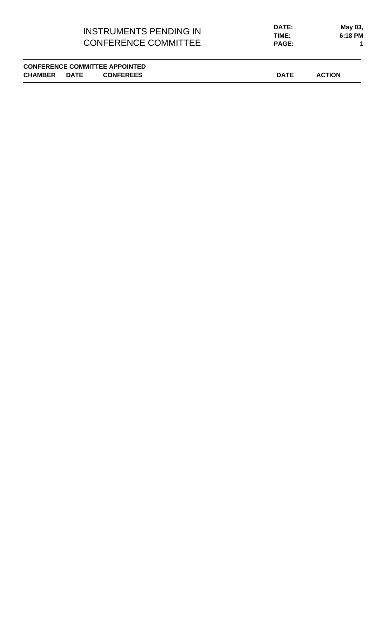### INSTRUMENTS PENDING IN CONFERENCE COMMITTEE

**PAGE: 1 DATE: May 03, TIME: 6:18 PM**

**CONFERENCE COMMITTEE APPOINTED CHAMBER DATE CONFEREES DATE ACTION**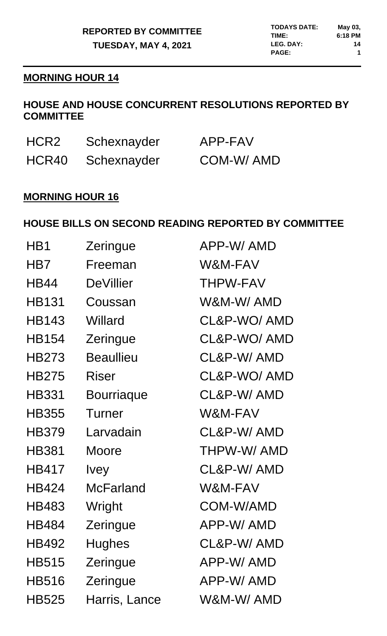# **MORNING HOUR 14**

# **HOUSE AND HOUSE CONCURRENT RESOLUTIONS REPORTED BY COMMITTEE**

| HCR2  | Schexnayder | APP-FAV   |
|-------|-------------|-----------|
| HCR40 | Schexnayder | COM-W/AMD |

# **MORNING HOUR 16**

# **HOUSE BILLS ON SECOND READING REPORTED BY COMMITTEE**

| Zeringue          | APP-W/AMD       |
|-------------------|-----------------|
| Freeman           | W&M-FAV         |
| <b>DeVillier</b>  | <b>THPW-FAV</b> |
| Coussan           | W&M-W/AMD       |
| Willard           | CL&P-WO/AMD     |
| Zeringue          | CL&P-WO/AMD     |
| <b>Beaullieu</b>  | CL&P-W/AMD      |
| <b>Riser</b>      | CL&P-WO/AMD     |
| <b>Bourriaque</b> | CL&P-W/AMD      |
| Turner            | W&M-FAV         |
| Larvadain         | CL&P-W/AMD      |
| Moore             | THPW-W/AMD      |
| <b>Ivey</b>       | CL&P-W/AMD      |
| <b>McFarland</b>  | W&M-FAV         |
| Wright            | COM-W/AMD       |
| Zeringue          | APP-W/AMD       |
| <b>Hughes</b>     | CL&P-W/AMD      |
| Zeringue          | APP-W/AMD       |
| Zeringue          | APP-W/AMD       |
| Harris, Lance     | W&M-W/ AMD      |
|                   |                 |